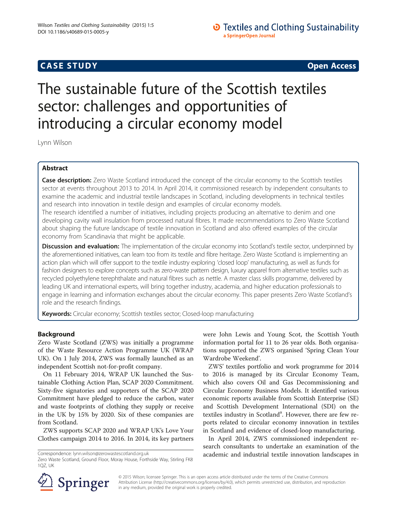## **CASE STUDY CASE STUDY Open Access**

# The sustainable future of the Scottish textiles sector: challenges and opportunities of introducing a circular economy model

Lynn Wilson

### Abstract

Case description: Zero Waste Scotland introduced the concept of the circular economy to the Scottish textiles sector at events throughout 2013 to 2014. In April 2014, it commissioned research by independent consultants to examine the academic and industrial textile landscapes in Scotland, including developments in technical textiles and research into innovation in textile design and examples of circular economy models.

The research identified a number of initiatives, including projects producing an alternative to denim and one developing cavity wall insulation from processed natural fibres. It made recommendations to Zero Waste Scotland about shaping the future landscape of textile innovation in Scotland and also offered examples of the circular economy from Scandinavia that might be applicable.

Discussion and evaluation: The implementation of the circular economy into Scotland's textile sector, underpinned by the aforementioned initiatives, can learn too from its textile and fibre heritage. Zero Waste Scotland is implementing an action plan which will offer support to the textile industry exploring 'closed loop' manufacturing, as well as funds for fashion designers to explore concepts such as zero-waste pattern design, luxury apparel from alternative textiles such as recycled polyethylene terephthalate and natural fibres such as nettle. A master class skills programme, delivered by leading UK and international experts, will bring together industry, academia, and higher education professionals to engage in learning and information exchanges about the circular economy. This paper presents Zero Waste Scotland's role and the research findings.

Keywords: Circular economy; Scottish textiles sector; Closed-loop manufacturing

#### Background

Zero Waste Scotland (ZWS) was initially a programme of the Waste Resource Action Programme UK (WRAP UK). On 1 July 2014, ZWS was formally launched as an independent Scottish not-for-profit company.

On 11 February 2014, WRAP UK launched the Sustainable Clothing Action Plan, SCAP 2020 Commitment. Sixty-five signatories and supporters of the SCAP 2020 Commitment have pledged to reduce the carbon, water and waste footprints of clothing they supply or receive in the UK by 15% by 2020. Six of these companies are from Scotland.

ZWS supports SCAP 2020 and WRAP UK's Love Your Clothes campaign 2014 to 2016. In 2014, its key partners were John Lewis and Young Scot, the Scottish Youth information portal for 11 to 26 year olds. Both organisations supported the ZWS organised 'Spring Clean Your Wardrobe Weekend'.

ZWS' textiles portfolio and work programme for 2014 to 2016 is managed by its Circular Economy Team, which also covers Oil and Gas Decommissioning and Circular Economy Business Models. It identified various economic reports available from Scottish Enterprise (SE) and Scottish Development International (SDI) on the textiles industry in Scotland<sup>a</sup>. However, there are few reports related to circular economy innovation in textiles in Scotland and evidence of closed-loop manufacturing.

In April 2014, ZWS commissioned independent research consultants to undertake an examination of the Correspondence: [lynn.wilson@zerowastescotland.org.uk](mailto:lynn.wilson@zerowastescotland.org.uk) academic and industrial textile innovation landscapes in<br>Zero Waste Scotland, Ground Floor, Moray House, Forthside Way, Stirling FK8



© 2015 Wilson; licensee Springer. This is an open access article distributed under the terms of the Creative Commons Attribution License [\(http://creativecommons.org/licenses/by/4.0\)](http://creativecommons.org/licenses/by/4.0), which permits unrestricted use, distribution, and reproduction in any medium, provided the original work is properly credited.

<sup>1</sup>QZ, UK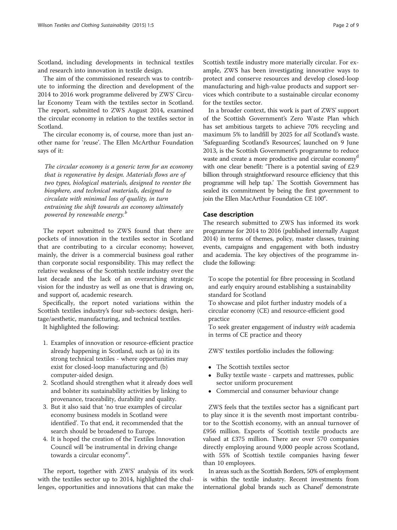Scotland, including developments in technical textiles and research into innovation in textile design.

The aim of the commissioned research was to contribute to informing the direction and development of the 2014 to 2016 work programme delivered by ZWS' Circular Economy Team with the textiles sector in Scotland. The report, submitted to ZWS August 2014, examined the circular economy in relation to the textiles sector in Scotland.

The circular economy is, of course, more than just another name for 'reuse'. The Ellen McArthur Foundation says of it:

The circular economy is a generic term for an economy that is regenerative by design. Materials flows are of two types, biological materials, designed to reenter the biosphere, and technical materials, designed to circulate with minimal loss of quality, in turn entraining the shift towards an economy ultimately powered by renewable energy. $\bar{b}$ 

The report submitted to ZWS found that there are pockets of innovation in the textiles sector in Scotland that are contributing to a circular economy; however, mainly, the driver is a commercial business goal rather than corporate social responsibility. This may reflect the relative weakness of the Scottish textile industry over the last decade and the lack of an overarching strategic vision for the industry as well as one that is drawing on, and support of, academic research.

Specifically, the report noted variations within the Scottish textiles industry's four sub-sectors: design, heritage/aesthetic, manufacturing, and technical textiles.

It highlighted the following:

- 1. Examples of innovation or resource-efficient practice already happening in Scotland, such as (a) in its strong technical textiles - where opportunities may exist for closed-loop manufacturing and (b) computer-aided design.
- 2. Scotland should strengthen what it already does well and bolster its sustainability activities by linking to provenance, traceability, durability and quality.
- 3. But it also said that 'no true examples of circular economy business models in Scotland were identified'. To that end, it recommended that the search should be broadened to Europe.
- 4. It is hoped the creation of the Textiles Innovation Council will 'be instrumental in driving change towards a circular economy $\mathcal{C}$ .

The report, together with ZWS' analysis of its work with the textiles sector up to 2014, highlighted the challenges, opportunities and innovations that can make the Scottish textile industry more materially circular. For example, ZWS has been investigating innovative ways to protect and conserve resources and develop closed-loop manufacturing and high-value products and support services which contribute to a sustainable circular economy for the textiles sector.

In a broader context, this work is part of ZWS' support of the Scottish Government's Zero Waste Plan which has set ambitious targets to achieve 70% recycling and maximum 5% to landfill by 2025 for all Scotland's waste. 'Safeguarding Scotland's Resources', launched on 9 June 2013, is the Scottish Government's programme to reduce waste and create a more productive and circular economy<sup>d</sup> with one clear benefit: 'There is a potential saving of £2.9 billion through straightforward resource efficiency that this programme will help tap.' The Scottish Government has sealed its commitment by being the first government to join the Ellen MacArthur Foundation CE 100<sup>e</sup>.

#### Case description

The research submitted to ZWS has informed its work programme for 2014 to 2016 (published internally August 2014) in terms of themes, policy, master classes, training events, campaigns and engagement with both industry and academia. The key objectives of the programme include the following:

To scope the potential for fibre processing in Scotland and early enquiry around establishing a sustainability standard for Scotland

To showcase and pilot further industry models of a circular economy (CE) and resource-efficient good practice

To seek greater engagement of industry with academia in terms of CE practice and theory

ZWS' textiles portfolio includes the following:

- The Scottish textiles sector
- Bulky textile waste carpets and mattresses, public sector uniform procurement
- Commercial and consumer behaviour change

ZWS feels that the textiles sector has a significant part to play since it is the seventh most important contributor to the Scottish economy, with an annual turnover of £956 million. Exports of Scottish textile products are valued at £375 million. There are over 570 companies directly employing around 9,000 people across Scotland, with 55% of Scottish textile companies having fewer than 10 employees.

In areas such as the Scottish Borders, 50% of employment is within the textile industry. Recent investments from international global brands such as Chanel<sup>f</sup> demonstrate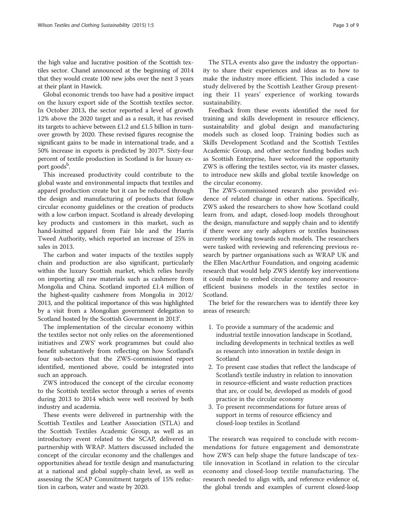the high value and lucrative position of the Scottish textiles sector. Chanel announced at the beginning of 2014 that they would create 100 new jobs over the next 3 years at their plant in Hawick.

Global economic trends too have had a positive impact on the luxury export side of the Scottish textiles sector. In October 2013, the sector reported a level of growth 12% above the 2020 target and as a result, it has revised its targets to achieve between £1.2 and £1.5 billion in turnover growth by 2020. These revised figures recognise the significant gains to be made in international trade, and a 50% increase in exports is predicted by 2017<sup>g</sup>. Sixty-four percent of textile production in Scotland is for luxury export goods<sup>b</sup>.

This increased productivity could contribute to the global waste and environmental impacts that textiles and apparel production create but it can be reduced through the design and manufacturing of products that follow circular economy guidelines or the creation of products with a low carbon impact. Scotland is already developing key products and customers in this market, such as hand-knitted apparel from Fair Isle and the Harris Tweed Authority, which reported an increase of 25% in sales in 2013.

The carbon and water impacts of the textiles supply chain and production are also significant, particularly within the luxury Scottish market, which relies heavily on importing all raw materials such as cashmere from Mongolia and China. Scotland imported £1.4 million of the highest-quality cashmere from Mongolia in 2012/ 2013, and the political importance of this was highlighted by a visit from a Mongolian government delegation to Scotland hosted by the Scottish Government in 2013<sup>i</sup>.

The implementation of the circular economy within the textiles sector not only relies on the aforementioned initiatives and ZWS' work programmes but could also benefit substantively from reflecting on how Scotland's four sub-sectors that the ZWS-commissioned report identified, mentioned above, could be integrated into such an approach.

ZWS introduced the concept of the circular economy to the Scottish textiles sector through a series of events during 2013 to 2014 which were well received by both industry and academia.

These events were delivered in partnership with the Scottish Textiles and Leather Association (STLA) and the Scottish Textiles Academic Group, as well as an introductory event related to the SCAP, delivered in partnership with WRAP. Matters discussed included the concept of the circular economy and the challenges and opportunities ahead for textile design and manufacturing at a national and global supply-chain level, as well as assessing the SCAP Commitment targets of 15% reduction in carbon, water and waste by 2020.

The STLA events also gave the industry the opportunity to share their experiences and ideas as to how to make the industry more efficient. This included a case study delivered by the Scottish Leather Group presenting their 11 years' experience of working towards sustainability.

Feedback from these events identified the need for training and skills development in resource efficiency, sustainability and global design and manufacturing models such as closed loop. Training bodies such as Skills Development Scotland and the Scottish Textiles Academic Group, and other sector funding bodies such as Scottish Enterprise, have welcomed the opportunity ZWS is offering the textiles sector, via its master classes, to introduce new skills and global textile knowledge on the circular economy.

The ZWS-commissioned research also provided evidence of related change in other nations. Specifically, ZWS asked the researchers to show how Scotland could learn from, and adapt, closed-loop models throughout the design, manufacture and supply chain and to identify if there were any early adopters or textiles businesses currently working towards such models. The researchers were tasked with reviewing and referencing previous research by partner organisations such as WRAP UK and the Ellen MacArthur Foundation, and ongoing academic research that would help ZWS identify key interventions it could make to embed circular economy and resourceefficient business models in the textiles sector in Scotland.

The brief for the researchers was to identify three key areas of research:

- 1. To provide a summary of the academic and industrial textile innovation landscape in Scotland, including developments in technical textiles as well as research into innovation in textile design in Scotland
- 2. To present case studies that reflect the landscape of Scotland's textile industry in relation to innovation in resource-efficient and waste reduction practices that are, or could be, developed as models of good practice in the circular economy
- 3. To present recommendations for future areas of support in terms of resource efficiency and closed-loop textiles in Scotland

The research was required to conclude with recommendations for future engagement and demonstrate how ZWS can help shape the future landscape of textile innovation in Scotland in relation to the circular economy and closed-loop textile manufacturing. The research needed to align with, and reference evidence of, the global trends and examples of current closed-loop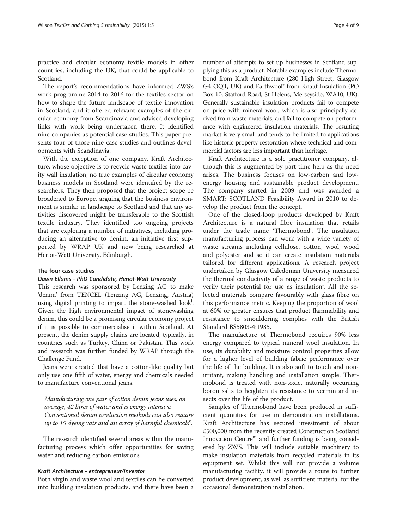practice and circular economy textile models in other countries, including the UK, that could be applicable to Scotland.

The report's recommendations have informed ZWS's work programme 2014 to 2016 for the textiles sector on how to shape the future landscape of textile innovation in Scotland, and it offered relevant examples of the circular economy from Scandinavia and advised developing links with work being undertaken there. It identified nine companies as potential case studies. This paper presents four of those nine case studies and outlines developments with Scandinavia.

With the exception of one company, Kraft Architecture, whose objective is to recycle waste textiles into cavity wall insulation, no true examples of circular economy business models in Scotland were identified by the researchers. They then proposed that the project scope be broadened to Europe, arguing that the business environment is similar in landscape to Scotland and that any activities discovered might be transferable to the Scottish textile industry. They identified too ongoing projects that are exploring a number of initiatives, including producing an alternative to denim, an initiative first supported by WRAP UK and now being researched at Heriot-Watt University, Edinburgh.

#### The four case studies

#### Dawn Ellams - PhD Candidate, Heriot-Watt University

This research was sponsored by Lenzing AG to make 'denim' from TENCEL (Lenzing AG, Lenzing, Austria) using digital printing to impart the stone-washed look<sup>j</sup>. Given the high environmental impact of stonewashing denim, this could be a promising circular economy project if it is possible to commercialise it within Scotland. At present, the denim supply chains are located, typically, in countries such as Turkey, China or Pakistan. This work and research was further funded by WRAP through the Challenge Fund.

Jeans were created that have a cotton-like quality but only use one fifth of water, energy and chemicals needed to manufacture conventional jeans.

Manufacturing one pair of cotton denim jeans uses, on average, 42 litres of water and is energy intensive. Conventional denim production methods can also require up to 15 dyeing vats and an array of harmful chemicals<sup>k</sup>.

The research identified several areas within the manufacturing process which offer opportunities for saving water and reducing carbon emissions.

#### Kraft Architecture - entrepreneur/inventor

Both virgin and waste wool and textiles can be converted into building insulation products, and there have been a

number of attempts to set up businesses in Scotland supplying this as a product. Notable examples include Thermobond from Kraft Architecture (280 High Street, Glasgow G4 OQT, UK) and Earthwool® from Knauf Insulation (PO Box 10, Stafford Road, St Helens, Merseyside, WA10, UK). Generally sustainable insulation products fail to compete on price with mineral wool, which is also principally derived from waste materials, and fail to compete on performance with engineered insulation materials. The resulting market is very small and tends to be limited to applications like historic property restoration where technical and commercial factors are less important than heritage.

Kraft Architecture is a sole practitioner company, although this is augmented by part-time help as the need arises. The business focuses on low-carbon and lowenergy housing and sustainable product development. The company started in 2009 and was awarded a SMART: SCOTLAND Feasibility Award in 2010 to develop the product from the concept.

One of the closed-loop products developed by Kraft Architecture is a natural fibre insulation that retails under the trade name 'Thermobond'. The insulation manufacturing process can work with a wide variety of waste streams including cellulose, cotton, wool, wood and polyester and so it can create insulation materials tailored for different applications. A research project undertaken by Glasgow Caledonian University measured the thermal conductivity of a range of waste products to verify their potential for use as insulation<sup>1</sup>. All the selected materials compare favourably with glass fibre on this performance metric. Keeping the proportion of wool at 60% or greater ensures that product flammability and resistance to smouldering complies with the British Standard BS5803-4:1985.

The manufacture of Thermobond requires 90% less energy compared to typical mineral wool insulation. In use, its durability and moisture control properties allow for a higher level of building fabric performance over the life of the building. It is also soft to touch and nonirritant, making handling and installation simple. Thermobond is treated with non-toxic, naturally occurring boron salts to heighten its resistance to vermin and insects over the life of the product.

Samples of Thermobond have been produced in sufficient quantities for use in demonstration installations. Kraft Architecture has secured investment of about £500,000 from the recently created Construction Scotland Innovation Centre<sup>m</sup> and further funding is being considered by ZWS. This will include suitable machinery to make insulation materials from recycled materials in its equipment set. Whilst this will not provide a volume manufacturing facility, it will provide a route to further product development, as well as sufficient material for the occasional demonstration installation.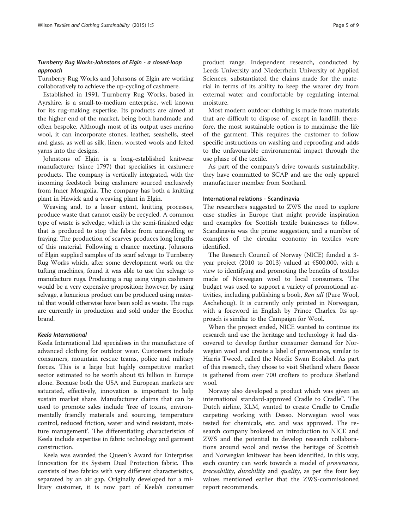#### Turnberry Rug Works-Johnstons of Elgin - a closed-loop approach

Turnberry Rug Works and Johnsons of Elgin are working collaboratively to achieve the up-cycling of cashmere.

Established in 1991, Turnberry Rug Works, based in Ayrshire, is a small-to-medium enterprise, well known for its rug-making expertise. Its products are aimed at the higher end of the market, being both handmade and often bespoke. Although most of its output uses merino wool, it can incorporate stones, leather, seashells, steel and glass, as well as silk, linen, worsted wools and felted yarns into the designs.

Johnstons of Elgin is a long-established knitwear manufacturer (since 1797) that specialises in cashmere products. The company is vertically integrated, with the incoming feedstock being cashmere sourced exclusively from Inner Mongolia. The company has both a knitting plant in Hawick and a weaving plant in Elgin.

Weaving and, to a lesser extent, knitting processes, produce waste that cannot easily be recycled. A common type of waste is selvedge, which is the semi-finished edge that is produced to stop the fabric from unravelling or fraying. The production of scarves produces long lengths of this material. Following a chance meeting, Johnsons of Elgin supplied samples of its scarf selvage to Turnberry Rug Works which, after some development work on the tufting machines, found it was able to use the selvage to manufacture rugs. Producing a rug using virgin cashmere would be a very expensive proposition; however, by using selvage, a luxurious product can be produced using material that would otherwise have been sold as waste. The rugs are currently in production and sold under the Ecochic brand.

#### Keela International

Keela International Ltd specialises in the manufacture of advanced clothing for outdoor wear. Customers include consumers, mountain rescue teams, police and military forces. This is a large but highly competitive market sector estimated to be worth about €5 billion in Europe alone. Because both the USA and European markets are saturated, effectively, innovation is important to help sustain market share. Manufacturer claims that can be used to promote sales include 'free of toxins, environmentally friendly materials and sourcing, temperature control, reduced friction, water and wind resistant, moisture management'. The differentiating characteristics of Keela include expertise in fabric technology and garment construction.

Keela was awarded the Queen's Award for Enterprise: Innovation for its System Dual Protection fabric. This consists of two fabrics with very different characteristics, separated by an air gap. Originally developed for a military customer, it is now part of Keela's consumer

product range. Independent research, conducted by Leeds University and Niederrhein University of Applied Sciences, substantiated the claims made for the material in terms of its ability to keep the wearer dry from external water and comfortable by regulating internal moisture.

Most modern outdoor clothing is made from materials that are difficult to dispose of, except in landfill; therefore, the most sustainable option is to maximise the life of the garment. This requires the customer to follow specific instructions on washing and reproofing and adds to the unfavourable environmental impact through the use phase of the textile.

As part of the company's drive towards sustainability, they have committed to SCAP and are the only apparel manufacturer member from Scotland.

#### International relations - Scandinavia

The researchers suggested to ZWS the need to explore case studies in Europe that might provide inspiration and examples for Scottish textile businesses to follow. Scandinavia was the prime suggestion, and a number of examples of the circular economy in textiles were identified.

The Research Council of Norway (NICE) funded a 3 year project (2010 to 2013) valued at  $€500,000$ , with a view to identifying and promoting the benefits of textiles made of Norwegian wool to local consumers. The budget was used to support a variety of promotional activities, including publishing a book, Ren ull (Pure Wool, Aschehoug). It is currently only printed in Norwegian, with a foreword in English by Prince Charles. Its approach is similar to the Campaign for Wool.

When the project ended, NICE wanted to continue its research and use the heritage and technology it had discovered to develop further consumer demand for Norwegian wool and create a label of provenance, similar to Harris Tweed, called the Nordic Swan Ecolabel. As part of this research, they chose to visit Shetland where fleece is gathered from over 700 crofters to produce Shetland wool.

Norway also developed a product which was given an international standard-approved Cradle to Cradle<sup>n</sup>. The Dutch airline, KLM, wanted to create Cradle to Cradle carpeting working with Desso. Norwegian wool was tested for chemicals, etc. and was approved. The research company brokered an introduction to NICE and ZWS and the potential to develop research collaborations around wool and revise the heritage of Scottish and Norwegian knitwear has been identified. In this way, each country can work towards a model of *provenance*, traceability, durability and quality, as per the four key values mentioned earlier that the ZWS-commissioned report recommends.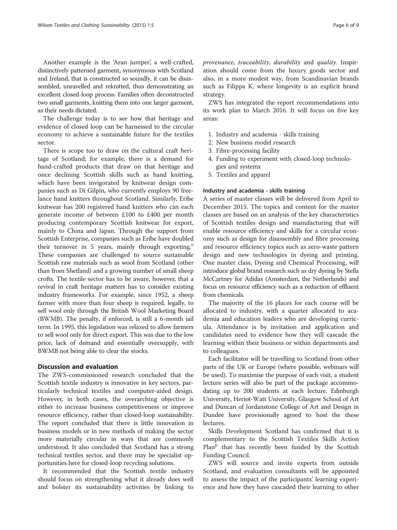Another example is the 'Aran jumper', a well-crafted, distinctively patterned garment, synonymous with Scotland and Ireland, that is constructed so soundly, it can be disassembled, unravelled and reknitted, thus demonstrating an excellent closed-loop process. Families often deconstructed two small garments, knitting them into one larger garment, as their needs dictated.

The challenge today is to see how that heritage and evidence of closed loop can be harnessed to the circular economy to achieve a sustainable future for the textiles sector.

There is scope too to draw on the cultural craft heritage of Scotland; for example, there is a demand for hand-crafted products that draw on that heritage and once declining Scottish skills such as hand knitting, which have been invigorated by knitwear design companies such as Di Gilpin, who currently employs 90 freelance hand knitters throughout Scotland. Similarly, Eribe knitwear has 200 registered hand knitters who can each generate income of between £100 to £400 per month producing contemporary Scottish knitwear for export, mainly to China and Japan. Through the support from Scottish Enterprise, companies such as Eribe have doubled their turnover in 5 years, mainly through exporting. $^{\circ}$ These companies are challenged to source sustainable Scottish raw materials such as wool from Scotland (other than from Shetland) and a growing number of small sheep crofts. The textile sector has to be aware, however, that a revival in craft heritage matters has to consider existing industry frameworks. For example, since 1952, a sheep farmer with more than four sheep is required, legally, to sell wool only through the British Wool Marketing Board (BWMB). The penalty, if enforced, is still a 6-month jail term. In 1995, this legislation was relaxed to allow farmers to sell wool only for direct export. This was due to the low price, lack of demand and essentially oversupply, with BWMB not being able to clear the stocks.

#### Discussion and evaluation

The ZWS-commissioned research concluded that the Scottish textile industry is innovative in key sectors, particularly technical textiles and computer-aided design. However, in both cases, the overarching objective is either to increase business competitiveness or improve resource efficiency, rather than closed-loop sustainability. The report concluded that there is little innovation in business models or in new methods of making the sector more materially circular in ways that are commonly understood. It also concluded that Scotland has a strong technical textiles sector, and there may be specialist opportunities here for closed-loop recycling solutions.

It recommended that the Scottish textile industry should focus on strengthening what it already does well and bolster its sustainability activities by linking to provenance, traceability, durability and quality. Inspiration should come from the luxury goods sector and also, in a more modest way, from Scandinavian brands such as Filippa K, where longevity is an explicit brand strategy.

ZWS has integrated the report recommendations into its work plan to March 2016. It will focus on five key areas:

- 1. Industry and academia skills training
- 2. New business model research
- 3. Fibre-processing facility
- 4. Funding to experiment with closed-loop technologies and systems
- 5. Textiles and apparel

#### Industry and academia - skills training

A series of master classes will be delivered from April to December 2015. The topics and content for the master classes are based on an analysis of the key characteristics of Scottish textiles design and manufacturing that will enable resource efficiency and skills for a circular economy such as design for disassembly and fibre processing and resource efficiency topics such as zero-waste pattern design and new technologies in dyeing and printing. One master class, Dyeing and Chemical Processing, will introduce global brand research such as dry dyeing by Stella McCartney for Adidas (Amsterdam, the Netherlands) and focus on resource efficiency such as a reduction of effluent from chemicals.

The majority of the 16 places for each course will be allocated to industry, with a quarter allocated to academia and education leaders who are developing curricula. Attendance is by invitation and application and candidates need to evidence how they will cascade the learning within their business or within departments and to colleagues.

Each facilitator will be travelling to Scotland from other parts of the UK or Europe (where possible, webinars will be used). To maximise the purpose of each visit, a student lecture series will also be part of the package accommodating up to 200 students at each lecture. Edinburgh University, Heriot-Watt University, Glasgow School of Art and Duncan of Jordanstone College of Art and Design in Dundee have provisionally agreed to host the these lectures.

Skills Development Scotland has confirmed that it is complementary to the Scottish Textiles Skills Action Plan<sup>p</sup> that has recently been funded by the Scottish Funding Council.

ZWS will source and invite experts from outside Scotland, and evaluation consultants will be appointed to assess the impact of the participants' learning experience and how they have cascaded their learning to other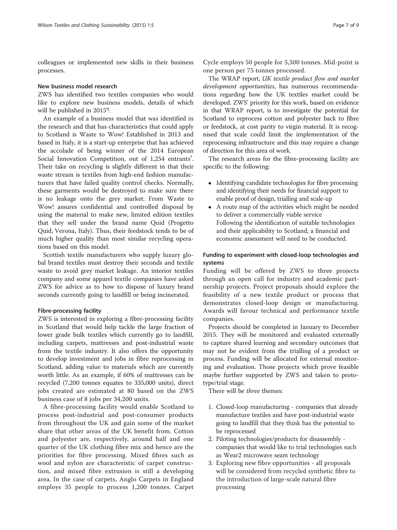colleagues or implemented new skills in their business processes.

#### New business model research

ZWS has identified two textiles companies who would like to explore new business models, details of which will be published in 2015<sup>q</sup>.

An example of a business model that was identified in the research and that has characteristics that could apply to Scotland is Waste to Wow! Established in 2013 and based in Italy, it is a start-up enterprise that has achieved the accolade of being winner of the 2014 European Social Innovation Competition, out of 1,254 entrants<sup>r</sup>. Their take on recycling is slightly different in that their waste stream is textiles from high-end fashion manufacturers that have failed quality control checks. Normally, these garments would be destroyed to make sure there is no leakage onto the grey market. From Waste to Wow! assures confidential and controlled disposal by using the material to make new, limited edition textiles that they sell under the brand name Quid (Progetto Quid, Verona, Italy). Thus, their feedstock tends to be of much higher quality than most similar recycling operations based on this model.

Scottish textile manufacturers who supply luxury global brand textiles must destroy their seconds and textile waste to avoid grey market leakage. An interior textiles company and some apparel textile companies have asked ZWS for advice as to how to dispose of luxury brand seconds currently going to landfill or being incinerated.

#### Fibre-processing facility

ZWS is interested in exploring a fibre-processing facility in Scotland that would help tackle the large fraction of lower grade bulk textiles which currently go to landfill, including carpets, mattresses and post-industrial waste from the textile industry. It also offers the opportunity to develop investment and jobs in fibre reprocessing in Scotland, adding value to materials which are currently worth little. As an example, if 60% of mattresses can be recycled (7,200 tonnes equates to 335,000 units), direct jobs created are estimated at 80 based on the ZWS business case of 8 jobs per 34,200 units.

A fibre-processing facility would enable Scotland to process post-industrial and post-consumer products from throughout the UK and gain some of the market share that other areas of the UK benefit from. Cotton and polyester are, respectively, around half and one quarter of the UK clothing fibre mix and hence are the priorities for fibre processing. Mixed fibres such as wool and nylon are characteristic of carpet construction, and mixed fibre extrusion is still a developing area. In the case of carpets, Anglo Carpets in England employs 35 people to process 1,200 tonnes. Carpet

Cycle employs 50 people for 5,500 tonnes. Mid-point is one person per 75 tonnes processed.

The WRAP report, UK textile product flow and market development opportunities, has numerous recommendations regarding how the UK textiles market could be developed. ZWS' priority for this work, based on evidence in that WRAP report, is to investigate the potential for Scotland to reprocess cotton and polyester back to fibre or feedstock, at cost parity to virgin material. It is recognised that scale could limit the implementation of the reprocessing infrastructure and this may require a change of direction for this area of work.

The research areas for the fibre-processing facility are specific to the following:

- Identifying candidate technologies for fibre processing and identifying their needs for financial support to enable proof of design, trialling and scale-up
- A route map of the activities which might be needed to deliver a commercially viable service Following the identification of suitable technologies and their applicability to Scotland, a financial and economic assessment will need to be conducted.

#### Funding to experiment with closed-loop technologies and systems

Funding will be offered by ZWS to three projects through an open call for industry and academic partnership projects. Project proposals should explore the feasibility of a new textile product or process that demonstrates closed-loop design or manufacturing. Awards will favour technical and performance textile companies.

Projects should be completed in January to December 2015. They will be monitored and evaluated externally to capture shared learning and secondary outcomes that may not be evident from the trialling of a product or process. Funding will be allocated for external monitoring and evaluation. Those projects which prove feasible maybe further supported by ZWS and taken to prototype/trial stage.

There will be three themes:

- 1. Closed-loop manufacturing companies that already manufacture textiles and have post-industrial waste going to landfill that they think has the potential to be reprocessed
- 2. Piloting technologies/products for disassembly companies that would like to trial technologies such as Wear2 microwave seam technology
- 3. Exploring new fibre opportunities all proposals will be considered from recycled synthetic fibre to the introduction of large-scale natural fibre processing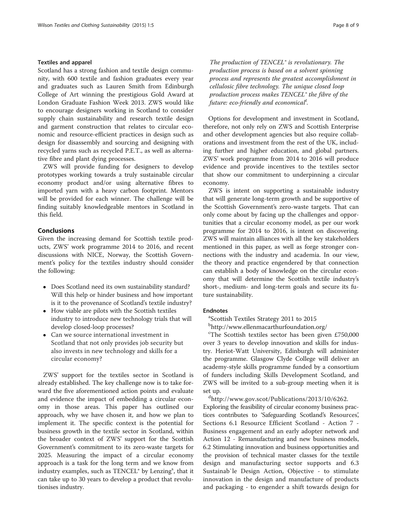#### Textiles and apparel

Scotland has a strong fashion and textile design community, with 600 textile and fashion graduates every year and graduates such as Lauren Smith from Edinburgh College of Art winning the prestigious Gold Award at London Graduate Fashion Week 2013. ZWS would like to encourage designers working in Scotland to consider supply chain sustainability and research textile design and garment construction that relates to circular economic and resource-efficient practices in design such as design for disassembly and sourcing and designing with recycled yarns such as recycled P.E.T., as well as alternative fibre and plant dying processes.

ZWS will provide funding for designers to develop prototypes working towards a truly sustainable circular economy product and/or using alternative fibres to imported yarn with a heavy carbon footprint. Mentors will be provided for each winner. The challenge will be finding suitably knowledgeable mentors in Scotland in this field.

#### Conclusions

Given the increasing demand for Scottish textile products, ZWS' work programme 2014 to 2016, and recent discussions with NICE, Norway, the Scottish Government's policy for the textiles industry should consider the following:

- Does Scotland need its own sustainability standard? Will this help or hinder business and how important is it to the provenance of Scotland's textile industry?
- How viable are pilots with the Scottish textiles industry to introduce new technology trials that will develop closed-loop processes?
- Can we source international investment in Scotland that not only provides job security but also invests in new technology and skills for a circular economy?

ZWS' support for the textiles sector in Scotland is already established. The key challenge now is to take forward the five aforementioned action points and evaluate and evidence the impact of embedding a circular economy in those areas. This paper has outlined our approach, why we have chosen it, and how we plan to implement it. The specific context is the potential for business growth in the textile sector in Scotland, within the broader context of ZWS' support for the Scottish Government's commitment to its zero-waste targets for 2025. Measuring the impact of a circular economy approach is a task for the long term and we know from industry examples, such as TENCEL<sup>®</sup> by Lenzing<sup>s</sup>, that it can take up to 30 years to develop a product that revolutionises industry.

The production of TENCEL<sup>®</sup> is revolutionary. The production process is based on a solvent spinning process and represents the greatest accomplishment in cellulosic fibre technology. The unique closed loop production process makes TENCEL® the fibre of the future: eco-friendly and economical<sup>t</sup>.

Options for development and investment in Scotland, therefore, not only rely on ZWS and Scottish Enterprise and other development agencies but also require collaborations and investment from the rest of the UK, including further and higher education, and global partners. ZWS' work programme from 2014 to 2016 will produce evidence and provide incentives to the textiles sector that show our commitment to underpinning a circular economy.

ZWS is intent on supporting a sustainable industry that will generate long-term growth and be supportive of the Scottish Government's zero-waste targets. That can only come about by facing up the challenges and opportunities that a circular economy model, as per our work programme for 2014 to 2016, is intent on discovering. ZWS will maintain alliances with all the key stakeholders mentioned in this paper, as well as forge stronger connections with the industry and academia. In our view, the theory and practice engendered by that connection can establish a body of knowledge on the circular economy that will determine the Scottish textile industry's short-, medium- and long-term goals and secure its future sustainability.

#### Endnotes

a Scottish Textiles Strategy 2011 to 2015

b <http://www.ellenmacarthurfoundation.org/>

<sup>c</sup>The Scottish textiles sector has been given £750,000 over 3 years to develop innovation and skills for industry. Heriot-Watt University, Edinburgh will administer the programme. Glasgow Clyde College will deliver an academy-style skills programme funded by a consortium of funders including Skills Development Scotland, and ZWS will be invited to a sub-group meeting when it is set up.

d <http://www.gov.scot/Publications/2013/10/6262>.

Exploring the feasibility of circular economy business practices contributes to 'Safeguarding Scotland's Resources', Sections 6.1 Resource Efficient Scotland - Action 7 - Business engagement and an early adopter network and Action 12 - Remanufacturing and new business models, 6.2 Stimulating innovation and business opportunities and the provision of technical master classes for the textile design and manufacturing sector supports and 6.3 Sustainab`le Design Action, Objective - to stimulate innovation in the design and manufacture of products and packaging - to engender a shift towards design for